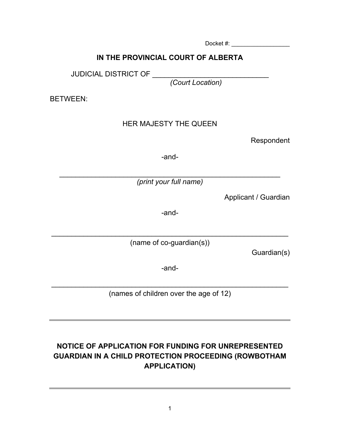Docket #: \_\_\_\_\_\_\_\_\_\_\_\_\_\_\_\_\_\_

#### **IN THE PROVINCIAL COURT OF ALBERTA**

JUDICIAL DISTRICT OF \_\_\_\_\_

*(Court Location)*

BETWEEN:

#### HER MAJESTY THE QUEEN

Respondent

-and-

\_\_\_\_\_\_\_\_\_\_\_\_\_\_\_\_\_\_\_\_\_\_\_\_\_\_\_\_\_\_\_\_\_\_\_\_\_\_\_\_\_\_\_\_\_\_\_\_\_\_\_\_\_\_\_ *(print your full name)*

Applicant / Guardian

-and-

\_\_\_\_\_\_\_\_\_\_\_\_\_\_\_\_\_\_\_\_\_\_\_\_\_\_\_\_\_\_\_\_\_\_\_\_\_\_\_\_\_\_\_\_\_\_\_\_\_\_\_\_\_\_\_\_\_\_\_ (name of co-guardian(s))

Guardian(s)

-and-

\_\_\_\_\_\_\_\_\_\_\_\_\_\_\_\_\_\_\_\_\_\_\_\_\_\_\_\_\_\_\_\_\_\_\_\_\_\_\_\_\_\_\_\_\_\_\_\_\_\_\_\_\_\_\_\_\_\_\_ (names of children over the age of 12)

# **NOTICE OF APPLICATION FOR FUNDING FOR UNREPRESENTED GUARDIAN IN A CHILD PROTECTION PROCEEDING (ROWBOTHAM APPLICATION)**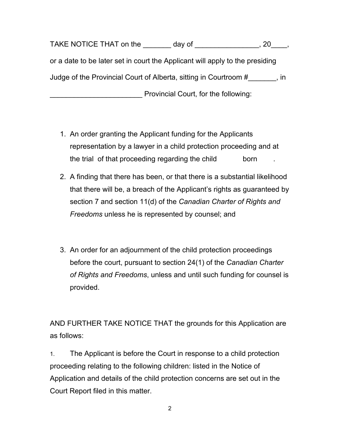TAKE NOTICE THAT on the day of the state of the state of the state of the state of the state of the state of the state of the state of the state of the state of the state of the state of the state of the state of the state or a date to be later set in court the Applicant will apply to the presiding Judge of the Provincial Court of Alberta, sitting in Courtroom #\_\_\_\_\_\_\_, in Provincial Court, for the following:

- 1. An order granting the Applicant funding for the Applicants representation by a lawyer in a child protection proceeding and at the trial of that proceeding regarding the child born
- 2. A finding that there has been, or that there is a substantial likelihood that there will be, a breach of the Applicant's rights as guaranteed by section 7 and section 11(d) of the *Canadian Charter of Rights and Freedoms* unless he is represented by counsel; and
- 3. An order for an adjournment of the child protection proceedings before the court, pursuant to section 24(1) of the *Canadian Charter of Rights and Freedoms*, unless and until such funding for counsel is provided.

AND FURTHER TAKE NOTICE THAT the grounds for this Application are as follows:

1. The Applicant is before the Court in response to a child protection proceeding relating to the following children: listed in the Notice of Application and details of the child protection concerns are set out in the Court Report filed in this matter.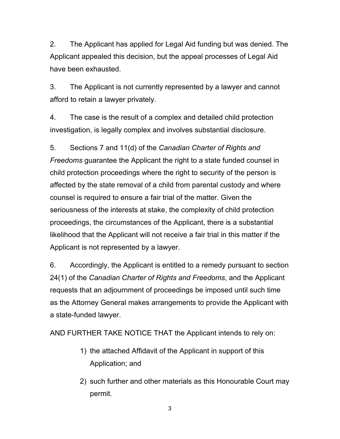2. The Applicant has applied for Legal Aid funding but was denied. The Applicant appealed this decision, but the appeal processes of Legal Aid have been exhausted.

3. The Applicant is not currently represented by a lawyer and cannot afford to retain a lawyer privately.

4. The case is the result of a complex and detailed child protection investigation, is legally complex and involves substantial disclosure.

5. Sections 7 and 11(d) of the *Canadian Charter of Rights and Freedoms* guarantee the Applicant the right to a state funded counsel in child protection proceedings where the right to security of the person is affected by the state removal of a child from parental custody and where counsel is required to ensure a fair trial of the matter. Given the seriousness of the interests at stake, the complexity of child protection proceedings, the circumstances of the Applicant, there is a substantial likelihood that the Applicant will not receive a fair trial in this matter if the Applicant is not represented by a lawyer.

6. Accordingly, the Applicant is entitled to a remedy pursuant to section 24(1) of the *Canadian Charter of Rights and Freedoms*, and the Applicant requests that an adjournment of proceedings be imposed until such time as the Attorney General makes arrangements to provide the Applicant with a state-funded lawyer.

AND FURTHER TAKE NOTICE THAT the Applicant intends to rely on:

- 1) the attached Affidavit of the Applicant in support of this Application; and
- 2) such further and other materials as this Honourable Court may permit.

3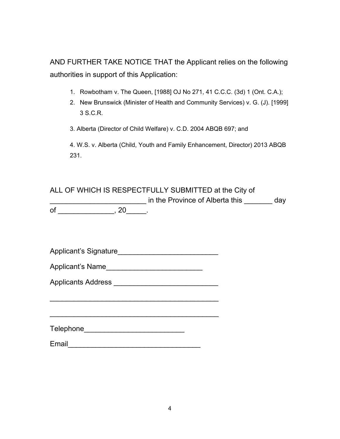AND FURTHER TAKE NOTICE THAT the Applicant relies on the following authorities in support of this Application:

- 1. Rowbotham v. The Queen, [1988] OJ No 271, 41 C.C.C. (3d) 1 (Ont. C.A.);
- 2. New Brunswick (Minister of Health and Community Services) v. G. (J). [1999] 3 S.C.R.

3. Alberta (Director of Child Welfare) v. C.D. 2004 ABQB 697; and

4. W.S. v. Alberta (Child, Youth and Family Enhancement, Director) 2013 ABQB 231.

ALL OF WHICH IS RESPECTFULLY SUBMITTED at the City of \_\_\_\_\_\_\_\_\_\_\_\_\_\_\_\_\_\_\_\_\_\_\_\_ in the Province of Alberta this \_\_\_\_\_\_\_ day  $\overline{\text{of}}$  \_\_\_\_\_\_\_\_\_\_\_\_\_\_\_\_\_\_\_, 20\_\_\_\_\_\_.

| Applicant's Signature                                                  |  |
|------------------------------------------------------------------------|--|
| Applicant's Name<br><u> 1950 - Johann Johann Stoff, martin santa a</u> |  |
| <b>Applicants Address</b>                                              |  |
|                                                                        |  |
|                                                                        |  |
| <b>Telephone</b>                                                       |  |
| Email                                                                  |  |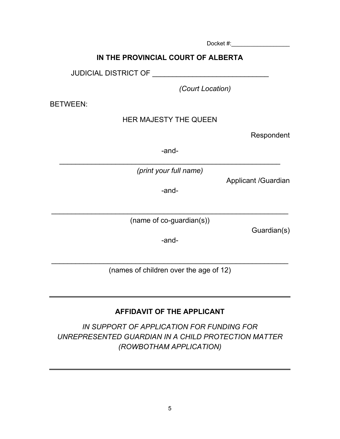**IN THE PROVINCIAL COURT OF ALBERTA**

JUDICIAL DISTRICT OF **EXAMPLE 2008** 

*(Court Location)*

BETWEEN:

## HER MAJESTY THE QUEEN

Respondent

-and-

\_\_\_\_\_\_\_\_\_\_\_\_\_\_\_\_\_\_\_\_\_\_\_\_\_\_\_\_\_\_\_\_\_\_\_\_\_\_\_\_\_\_\_\_\_\_\_\_\_\_\_\_\_\_\_ *(print your full name)*

Applicant /Guardian

-and-

\_\_\_\_\_\_\_\_\_\_\_\_\_\_\_\_\_\_\_\_\_\_\_\_\_\_\_\_\_\_\_\_\_\_\_\_\_\_\_\_\_\_\_\_\_\_\_\_\_\_\_\_\_\_\_\_\_\_\_ (name of co-guardian(s))

Guardian(s)

-and-

\_\_\_\_\_\_\_\_\_\_\_\_\_\_\_\_\_\_\_\_\_\_\_\_\_\_\_\_\_\_\_\_\_\_\_\_\_\_\_\_\_\_\_\_\_\_\_\_\_\_\_\_\_\_\_\_\_\_\_ (names of children over the age of 12)

## **AFFIDAVIT OF THE APPLICANT**

*IN SUPPORT OF APPLICATION FOR FUNDING FOR UNREPRESENTED GUARDIAN IN A CHILD PROTECTION MATTER (ROWBOTHAM APPLICATION)*

Docket #:\_\_\_\_\_\_\_\_\_\_\_\_\_\_\_\_\_\_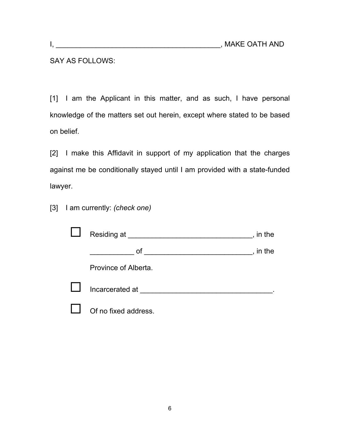### SAY AS FOLLOWS:

[1] I am the Applicant in this matter, and as such, I have personal knowledge of the matters set out herein, except where stated to be based on belief.

[2] I make this Affidavit in support of my application that the charges against me be conditionally stayed until I am provided with a state-funded lawyer.

[3] I am currently: *(check one)*

|              | Residing at          | in the |
|--------------|----------------------|--------|
|              | оf                   | in the |
|              | Province of Alberta. |        |
| $\mathbf{I}$ | Incarcerated at      |        |
|              | Of no fixed address. |        |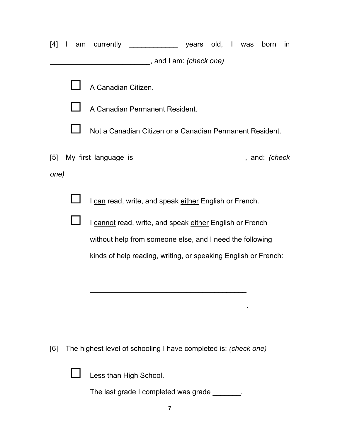| [4]               | $\mathbf{I}$ | am | currently                                                            |  |  | born | <i>in</i> |
|-------------------|--------------|----|----------------------------------------------------------------------|--|--|------|-----------|
|                   |              |    | _______________, and I am: <i>(check one)</i>                        |  |  |      |           |
|                   |              |    | A Canadian Citizen.                                                  |  |  |      |           |
|                   |              |    | A Canadian Permanent Resident.                                       |  |  |      |           |
|                   |              |    | Not a Canadian Citizen or a Canadian Permanent Resident.             |  |  |      |           |
| $\lceil 5 \rceil$ |              |    | My first language is __________________________________, and: (check |  |  |      |           |
| one)              |              |    |                                                                      |  |  |      |           |
|                   |              |    | I can read, write, and speak either English or French.               |  |  |      |           |
|                   |              |    | I cannot read, write, and speak either English or French             |  |  |      |           |
|                   |              |    | without help from someone else, and I need the following             |  |  |      |           |
|                   |              |    | kinds of help reading, writing, or speaking English or French:       |  |  |      |           |
|                   |              |    |                                                                      |  |  |      |           |
|                   |              |    |                                                                      |  |  |      |           |
|                   |              |    |                                                                      |  |  |      |           |
|                   |              |    |                                                                      |  |  |      |           |
|                   |              |    |                                                                      |  |  |      |           |

[6] The highest level of schooling I have completed is: *(check one)*



**Less than High School.** 

The last grade I completed was grade \_\_\_\_\_\_\_.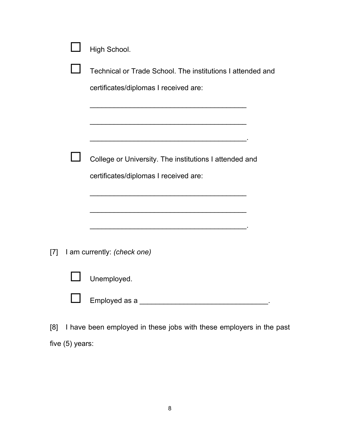|     | High School.                                                        |
|-----|---------------------------------------------------------------------|
|     | Technical or Trade School. The institutions I attended and          |
|     | certificates/diplomas I received are:                               |
|     |                                                                     |
|     |                                                                     |
|     | College or University. The institutions I attended and              |
|     | certificates/diplomas I received are:                               |
|     |                                                                     |
|     |                                                                     |
| [7] | I am currently: (check one)                                         |
|     | Unemployed.                                                         |
|     |                                                                     |
| [8] | I have been employed in these jobs with these employers in the past |

five (5) years: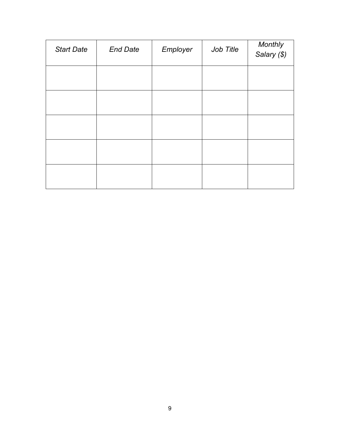| <b>Start Date</b> | <b>End Date</b> | Employer | Job Title | Monthly<br>Salary (\$) |
|-------------------|-----------------|----------|-----------|------------------------|
|                   |                 |          |           |                        |
|                   |                 |          |           |                        |
|                   |                 |          |           |                        |
|                   |                 |          |           |                        |
|                   |                 |          |           |                        |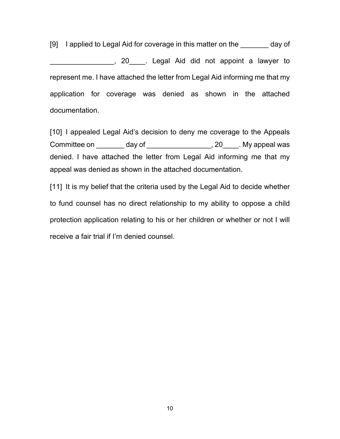[9] I applied to Legal Aid for coverage in this matter on the day of \_\_\_\_\_\_\_\_\_\_\_\_\_\_\_\_, 20\_\_\_\_. Legal Aid did not appoint a lawyer to represent me. I have attached the letter from Legal Aid informing me that my application for coverage was denied as shown in the attached documentation.

[10] I appealed Legal Aid's decision to deny me coverage to the Appeals Committee on day of the same committee on the day of the set of the set of the set of the set of the set of the set of the set of the set of the set of the set of the set of the set of the set of the set of the set of the denied. I have attached the letter from Legal Aid informing me that my appeal was denied as shown in the attached documentation.

[11] It is my belief that the criteria used by the Legal Aid to decide whether to fund counsel has no direct relationship to my ability to oppose a child protection application relating to his or her children or whether or not I will receive a fair trial if I'm denied counsel.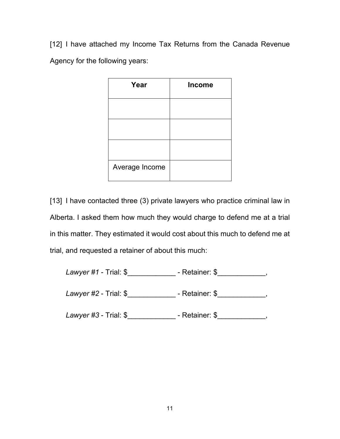[12] I have attached my Income Tax Returns from the Canada Revenue Agency for the following years:

| Year           | <b>Income</b> |
|----------------|---------------|
|                |               |
|                |               |
|                |               |
| Average Income |               |

[13] I have contacted three (3) private lawyers who practice criminal law in Alberta. I asked them how much they would charge to defend me at a trial in this matter. They estimated it would cost about this much to defend me at trial, and requested a retainer of about this much:

| Lawyer #1 - Trial: $$$        | - Retainer: \$ |
|-------------------------------|----------------|
| <i>Lawyer</i> #2 - Trial: $$$ | - Retainer: \$ |
| Lawyer $\#3$ - Trial: $\$     | - Retainer: \$ |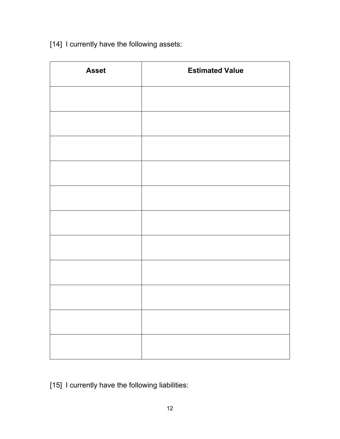[14] I currently have the following assets:

| <b>Asset</b> | <b>Estimated Value</b> |
|--------------|------------------------|
|              |                        |
|              |                        |
|              |                        |
|              |                        |
|              |                        |
|              |                        |
|              |                        |
|              |                        |
|              |                        |
|              |                        |
|              |                        |

[15] I currently have the following liabilities: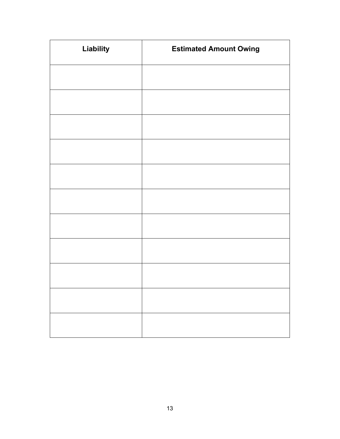| Liability | <b>Estimated Amount Owing</b> |
|-----------|-------------------------------|
|           |                               |
|           |                               |
|           |                               |
|           |                               |
|           |                               |
|           |                               |
|           |                               |
|           |                               |
|           |                               |
|           |                               |
|           |                               |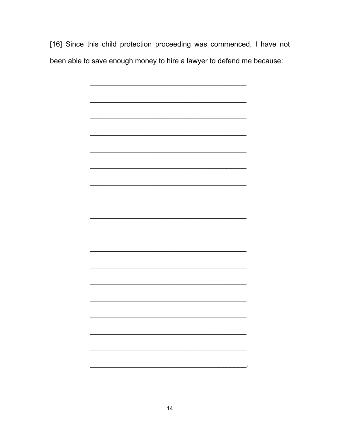[16] Since this child protection proceeding was commenced, I have not been able to save enough money to hire a lawyer to defend me because: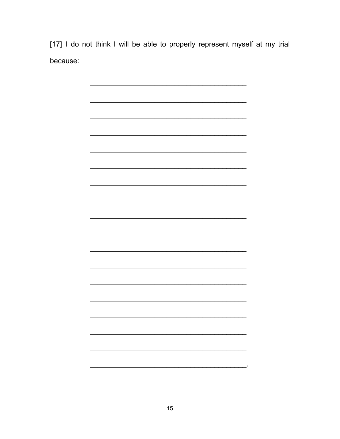[17] I do not think I will be able to properly represent myself at my trial because:

> $\overline{\phantom{0}}$